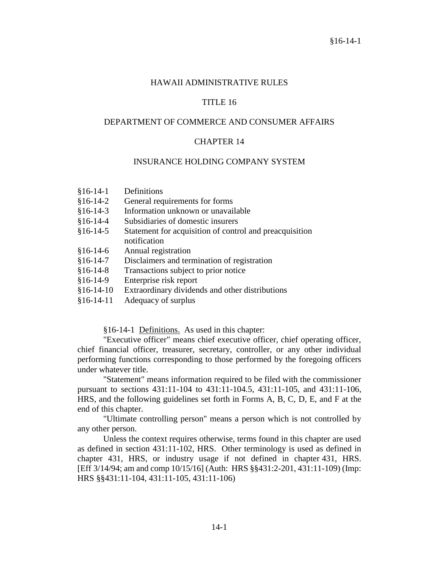#### HAWAII ADMINISTRATIVE RULES

### TITLE 16

#### DEPARTMENT OF COMMERCE AND CONSUMER AFFAIRS

#### CHAPTER 14

#### INSURANCE HOLDING COMPANY SYSTEM

- §16-14-1 Definitions
- §16-14-2 General requirements for forms
- §16-14-3 Information unknown or unavailable
- §16-14-4 Subsidiaries of domestic insurers
- §16-14-5 Statement for acquisition of control and preacquisition notification
- §16-14-6 Annual registration
- §16-14-7 Disclaimers and termination of registration
- §16-14-8 Transactions subject to prior notice
- §16-14-9 Enterprise risk report
- §16-14-10 Extraordinary dividends and other distributions
- §16-14-11 Adequacy of surplus

§16-14-1 Definitions. As used in this chapter:

"Executive officer" means chief executive officer, chief operating officer, chief financial officer, treasurer, secretary, controller, or any other individual performing functions corresponding to those performed by the foregoing officers under whatever title.

"Statement" means information required to be filed with the commissioner pursuant to sections 431:11-104 to 431:11-104.5, 431:11-105, and 431:11-106, HRS, and the following guidelines set forth in Forms A, B, C, D, E, and F at the end of this chapter.

"Ultimate controlling person" means a person which is not controlled by any other person.

Unless the context requires otherwise, terms found in this chapter are used as defined in section 431:11-102, HRS. Other terminology is used as defined in chapter 431, HRS, or industry usage if not defined in chapter 431, HRS. [Eff 3/14/94; am and comp 10/15/16] (Auth: HRS §§431:2-201, 431:11-109) (Imp: HRS §§431:11-104, 431:11-105, 431:11-106)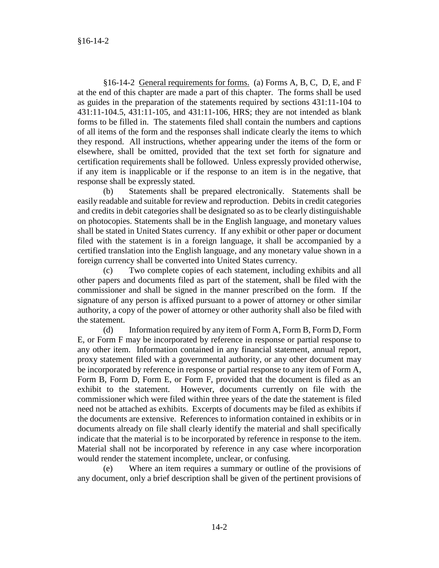§16-14-2 General requirements for forms. (a) Forms A, B, C, D, E, and F at the end of this chapter are made a part of this chapter. The forms shall be used as guides in the preparation of the statements required by sections 431:11-104 to 431:11-104.5, 431:11-105, and 431:11-106, HRS; they are not intended as blank forms to be filled in. The statements filed shall contain the numbers and captions of all items of the form and the responses shall indicate clearly the items to which they respond. All instructions, whether appearing under the items of the form or elsewhere, shall be omitted, provided that the text set forth for signature and certification requirements shall be followed. Unless expressly provided otherwise, if any item is inapplicable or if the response to an item is in the negative, that response shall be expressly stated.

(b) Statements shall be prepared electronically. Statements shall be easily readable and suitable for review and reproduction. Debits in credit categories and credits in debit categories shall be designated so as to be clearly distinguishable on photocopies. Statements shall be in the English language, and monetary values shall be stated in United States currency. If any exhibit or other paper or document filed with the statement is in a foreign language, it shall be accompanied by a certified translation into the English language, and any monetary value shown in a foreign currency shall be converted into United States currency.

Two complete copies of each statement, including exhibits and all other papers and documents filed as part of the statement, shall be filed with the commissioner and shall be signed in the manner prescribed on the form. If the signature of any person is affixed pursuant to a power of attorney or other similar authority, a copy of the power of attorney or other authority shall also be filed with the statement.

(d) Information required by any item of Form A, Form B, Form D, Form E, or Form F may be incorporated by reference in response or partial response to any other item. Information contained in any financial statement, annual report, proxy statement filed with a governmental authority, or any other document may be incorporated by reference in response or partial response to any item of Form A, Form B, Form D, Form E, or Form F, provided that the document is filed as an exhibit to the statement. However, documents currently on file with the commissioner which were filed within three years of the date the statement is filed need not be attached as exhibits. Excerpts of documents may be filed as exhibits if the documents are extensive. References to information contained in exhibits or in documents already on file shall clearly identify the material and shall specifically indicate that the material is to be incorporated by reference in response to the item. Material shall not be incorporated by reference in any case where incorporation would render the statement incomplete, unclear, or confusing.

(e) Where an item requires a summary or outline of the provisions of any document, only a brief description shall be given of the pertinent provisions of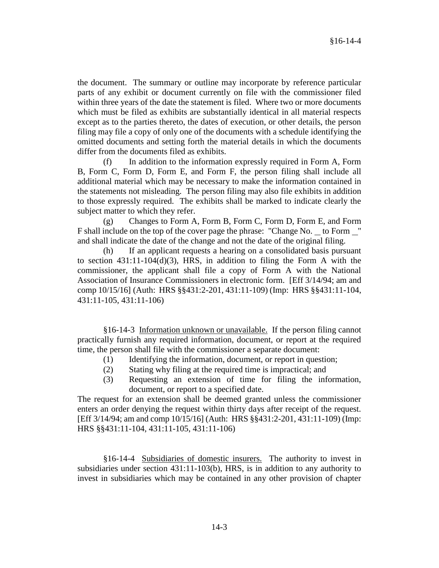the document. The summary or outline may incorporate by reference particular parts of any exhibit or document currently on file with the commissioner filed within three years of the date the statement is filed. Where two or more documents which must be filed as exhibits are substantially identical in all material respects except as to the parties thereto, the dates of execution, or other details, the person filing may file a copy of only one of the documents with a schedule identifying the omitted documents and setting forth the material details in which the documents differ from the documents filed as exhibits.

In addition to the information expressly required in Form A, Form B, Form C, Form D, Form E, and Form F, the person filing shall include all additional material which may be necessary to make the information contained in the statements not misleading. The person filing may also file exhibits in addition to those expressly required. The exhibits shall be marked to indicate clearly the subject matter to which they refer.

(g) Changes to Form A, Form B, Form C, Form D, Form E, and Form F shall include on the top of the cover page the phrase: "Change No. to Form " and shall indicate the date of the change and not the date of the original filing.

(h) If an applicant requests a hearing on a consolidated basis pursuant to section  $431:11-104(d)(3)$ , HRS, in addition to filing the Form A with the commissioner, the applicant shall file a copy of Form A with the National Association of Insurance Commissioners in electronic form. [Eff 3/14/94; am and comp 10/15/16] (Auth: HRS §§431:2-201, 431:11-109) (Imp: HRS §§431:11-104, 431:11-105, 431:11-106)

§16-14-3 Information unknown or unavailable. If the person filing cannot practically furnish any required information, document, or report at the required time, the person shall file with the commissioner a separate document:

- (1) Identifying the information, document, or report in question;
- (2) Stating why filing at the required time is impractical; and
- (3) Requesting an extension of time for filing the information, document, or report to a specified date.

The request for an extension shall be deemed granted unless the commissioner enters an order denying the request within thirty days after receipt of the request. [Eff 3/14/94; am and comp 10/15/16] (Auth: HRS §§431:2-201, 431:11-109) (Imp: HRS §§431:11-104, 431:11-105, 431:11-106)

§16-14-4 Subsidiaries of domestic insurers. The authority to invest in subsidiaries under section 431:11-103(b), HRS, is in addition to any authority to invest in subsidiaries which may be contained in any other provision of chapter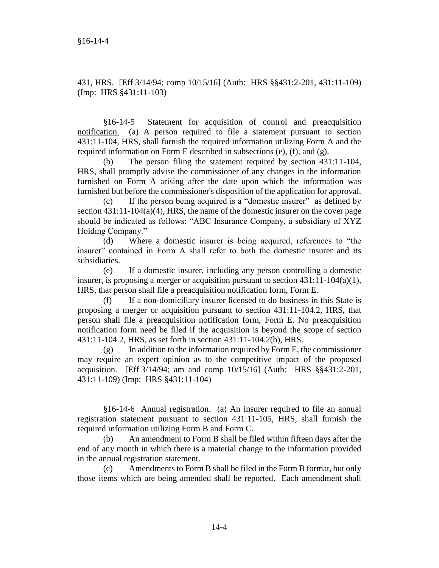431, HRS. [Eff 3/14/94; comp 10/15/16] (Auth: HRS §§431:2-201, 431:11-109) (Imp: HRS §431:11-103)

§16-14-5 Statement for acquisition of control and preacquisition notification. (a) A person required to file a statement pursuant to section 431:11-104, HRS, shall furnish the required information utilizing Form A and the required information on Form E described in subsections (e), (f), and (g).

(b) The person filing the statement required by section 431:11-104, HRS, shall promptly advise the commissioner of any changes in the information furnished on Form A arising after the date upon which the information was furnished but before the commissioner's disposition of the application for approval.

(c) If the person being acquired is a "domestic insurer" as defined by section 431:11-104(a)(4), HRS, the name of the domestic insurer on the cover page should be indicated as follows: "ABC Insurance Company, a subsidiary of XYZ Holding Company."

(d) Where a domestic insurer is being acquired, references to "the insurer" contained in Form A shall refer to both the domestic insurer and its subsidiaries.

(e) If a domestic insurer, including any person controlling a domestic insurer, is proposing a merger or acquisition pursuant to section 431:11-104(a)(1), HRS, that person shall file a preacquisition notification form, Form E.

(f) If a non-domiciliary insurer licensed to do business in this State is proposing a merger or acquisition pursuant to section 431:11-104.2, HRS, that person shall file a preacquisition notification form, Form E. No preacquisition notification form need be filed if the acquisition is beyond the scope of section 431:11-104.2, HRS, as set forth in section 431:11-104.2(b), HRS.

 $(g)$  In addition to the information required by Form E, the commissioner may require an expert opinion as to the competitive impact of the proposed acquisition. [Eff 3/14/94; am and comp 10/15/16] (Auth: HRS §§431:2-201, 431:11-109) (Imp: HRS §431:11-104)

§16-14-6 Annual registration. (a) An insurer required to file an annual registration statement pursuant to section 431:11-105, HRS, shall furnish the required information utilizing Form B and Form C.

(b) An amendment to Form B shall be filed within fifteen days after the end of any month in which there is a material change to the information provided in the annual registration statement.

(c) Amendments to Form B shall be filed in the Form B format, but only those items which are being amended shall be reported. Each amendment shall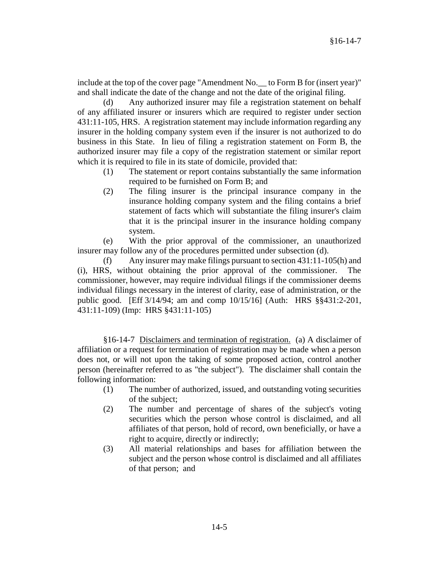include at the top of the cover page "Amendment No.\_\_ to Form B for (insert year)" and shall indicate the date of the change and not the date of the original filing.

Any authorized insurer may file a registration statement on behalf of any affiliated insurer or insurers which are required to register under section 431:11-105, HRS. A registration statement may include information regarding any insurer in the holding company system even if the insurer is not authorized to do business in this State. In lieu of filing a registration statement on Form B, the authorized insurer may file a copy of the registration statement or similar report which it is required to file in its state of domicile, provided that:

- (1) The statement or report contains substantially the same information required to be furnished on Form B; and
- (2) The filing insurer is the principal insurance company in the insurance holding company system and the filing contains a brief statement of facts which will substantiate the filing insurer's claim that it is the principal insurer in the insurance holding company system.

(e) With the prior approval of the commissioner, an unauthorized insurer may follow any of the procedures permitted under subsection (d).

(f) Any insurer may make filings pursuant to section 431:11-105(h) and (i), HRS, without obtaining the prior approval of the commissioner. The commissioner, however, may require individual filings if the commissioner deems individual filings necessary in the interest of clarity, ease of administration, or the public good. [Eff 3/14/94; am and comp 10/15/16] (Auth: HRS §§431:2-201, 431:11-109) (Imp: HRS §431:11-105)

§16-14-7 Disclaimers and termination of registration. (a) A disclaimer of affiliation or a request for termination of registration may be made when a person does not, or will not upon the taking of some proposed action, control another person (hereinafter referred to as "the subject"). The disclaimer shall contain the following information:

- (1) The number of authorized, issued, and outstanding voting securities of the subject;
- (2) The number and percentage of shares of the subject's voting securities which the person whose control is disclaimed, and all affiliates of that person, hold of record, own beneficially, or have a right to acquire, directly or indirectly;
- (3) All material relationships and bases for affiliation between the subject and the person whose control is disclaimed and all affiliates of that person; and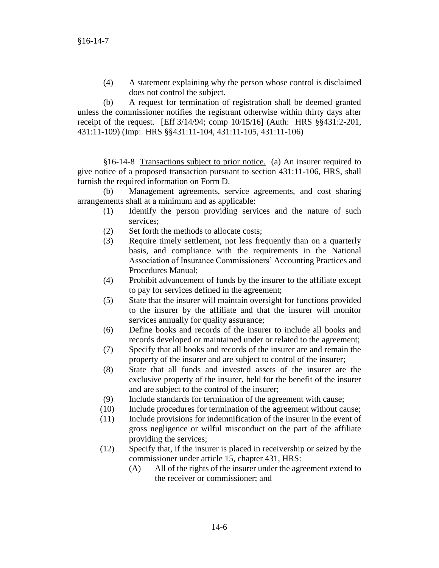(4) A statement explaining why the person whose control is disclaimed does not control the subject.

(b) A request for termination of registration shall be deemed granted unless the commissioner notifies the registrant otherwise within thirty days after receipt of the request. [Eff 3/14/94; comp 10/15/16] (Auth: HRS §§431:2-201, 431:11-109) (Imp: HRS §§431:11-104, 431:11-105, 431:11-106)

§16-14-8 Transactions subject to prior notice. (a) An insurer required to give notice of a proposed transaction pursuant to section 431:11-106, HRS, shall furnish the required information on Form D.

(b) Management agreements, service agreements, and cost sharing arrangements shall at a minimum and as applicable:

- (1) Identify the person providing services and the nature of such services;
- (2) Set forth the methods to allocate costs;
- (3) Require timely settlement, not less frequently than on a quarterly basis, and compliance with the requirements in the National Association of Insurance Commissioners' Accounting Practices and Procedures Manual;
- (4) Prohibit advancement of funds by the insurer to the affiliate except to pay for services defined in the agreement;
- (5) State that the insurer will maintain oversight for functions provided to the insurer by the affiliate and that the insurer will monitor services annually for quality assurance;
- (6) Define books and records of the insurer to include all books and records developed or maintained under or related to the agreement;
- (7) Specify that all books and records of the insurer are and remain the property of the insurer and are subject to control of the insurer;
- (8) State that all funds and invested assets of the insurer are the exclusive property of the insurer, held for the benefit of the insurer and are subject to the control of the insurer;
- (9) Include standards for termination of the agreement with cause;
- (10) Include procedures for termination of the agreement without cause;
- (11) Include provisions for indemnification of the insurer in the event of gross negligence or wilful misconduct on the part of the affiliate providing the services;
- (12) Specify that, if the insurer is placed in receivership or seized by the commissioner under article 15, chapter 431, HRS:
	- (A) All of the rights of the insurer under the agreement extend to the receiver or commissioner; and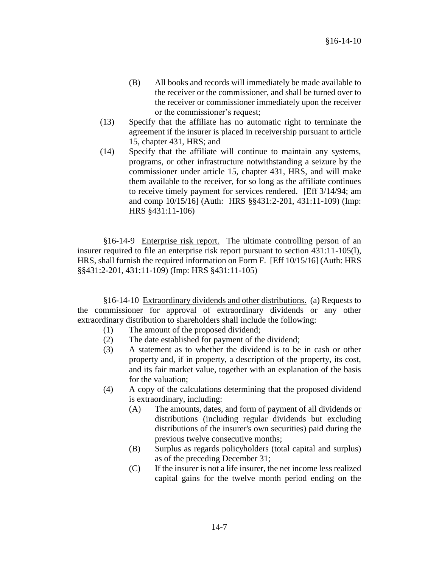- (B) All books and records will immediately be made available to the receiver or the commissioner, and shall be turned over to the receiver or commissioner immediately upon the receiver or the commissioner's request;
- (13) Specify that the affiliate has no automatic right to terminate the agreement if the insurer is placed in receivership pursuant to article 15, chapter 431, HRS; and
- (14) Specify that the affiliate will continue to maintain any systems, programs, or other infrastructure notwithstanding a seizure by the commissioner under article 15, chapter 431, HRS, and will make them available to the receiver, for so long as the affiliate continues to receive timely payment for services rendered. [Eff 3/14/94; am and comp 10/15/16] (Auth: HRS §§431:2-201, 431:11-109) (Imp: HRS §431:11-106)

§16-14-9 Enterprise risk report. The ultimate controlling person of an insurer required to file an enterprise risk report pursuant to section 431:11-105(l), HRS, shall furnish the required information on Form F. [Eff 10/15/16] (Auth: HRS §§431:2-201, 431:11-109) (Imp: HRS §431:11-105)

§16-14-10 Extraordinary dividends and other distributions. (a) Requests to the commissioner for approval of extraordinary dividends or any other extraordinary distribution to shareholders shall include the following:

- (1) The amount of the proposed dividend;
- (2) The date established for payment of the dividend;
- (3) A statement as to whether the dividend is to be in cash or other property and, if in property, a description of the property, its cost, and its fair market value, together with an explanation of the basis for the valuation;
- (4) A copy of the calculations determining that the proposed dividend is extraordinary, including:
	- (A) The amounts, dates, and form of payment of all dividends or distributions (including regular dividends but excluding distributions of the insurer's own securities) paid during the previous twelve consecutive months;
	- (B) Surplus as regards policyholders (total capital and surplus) as of the preceding December 31;
	- (C) If the insurer is not a life insurer, the net income less realized capital gains for the twelve month period ending on the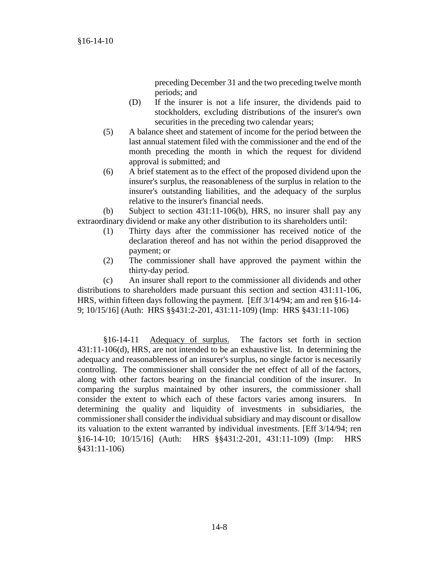preceding December 31 and the two preceding twelve month periods; and

- (D) If the insurer is not a life insurer, the dividends paid to stockholders, excluding distributions of the insurer's own securities in the preceding two calendar years;
- (5) A balance sheet and statement of income for the period between the last annual statement filed with the commissioner and the end of the month preceding the month in which the request for dividend approval is submitted; and
- (6) A brief statement as to the effect of the proposed dividend upon the insurer's surplus, the reasonableness of the surplus in relation to the insurer's outstanding liabilities, and the adequacy of the surplus relative to the insurer's financial needs.

(b) Subject to section 431:11-106(b), HRS, no insurer shall pay any extraordinary dividend or make any other distribution to its shareholders until:

- (1) Thirty days after the commissioner has received notice of the declaration thereof and has not within the period disapproved the payment; or
- (2) The commissioner shall have approved the payment within the thirty-day period.

(c) An insurer shall report to the commissioner all dividends and other distributions to shareholders made pursuant this section and section 431:11-106, HRS, within fifteen days following the payment. [Eff 3/14/94; am and ren §16-14- 9; 10/15/16] (Auth: HRS §§431:2-201, 431:11-109) (Imp: HRS §431:11-106)

§16-14-11 Adequacy of surplus. The factors set forth in section 431:11-106(d), HRS, are not intended to be an exhaustive list. In determining the adequacy and reasonableness of an insurer's surplus, no single factor is necessarily controlling. The commissioner shall consider the net effect of all of the factors, along with other factors bearing on the financial condition of the insurer. In comparing the surplus maintained by other insurers, the commissioner shall consider the extent to which each of these factors varies among insurers. In determining the quality and liquidity of investments in subsidiaries, the commissioner shall consider the individual subsidiary and may discount or disallow its valuation to the extent warranted by individual investments. [Eff 3/14/94; ren §16-14-10; 10/15/16] (Auth: HRS §§431:2-201, 431:11-109) (Imp: HRS §431:11-106)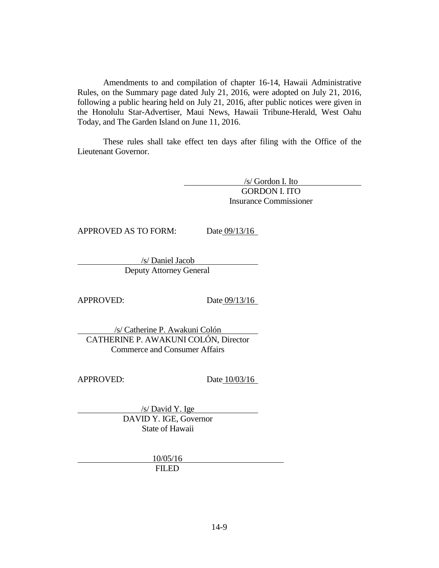Amendments to and compilation of chapter 16-14, Hawaii Administrative Rules, on the Summary page dated July 21, 2016, were adopted on July 21, 2016, following a public hearing held on July 21, 2016, after public notices were given in the Honolulu Star-Advertiser, Maui News, Hawaii Tribune-Herald, West Oahu Today, and The Garden Island on June 11, 2016.

These rules shall take effect ten days after filing with the Office of the Lieutenant Governor.

> /s/ Gordon I. Ito GORDON I. ITO Insurance Commissioner

APPROVED AS TO FORM: Date 09/13/16

/s/ Daniel Jacob Deputy Attorney General

APPROVED: Date 09/13/16

/s/ Catherine P. Awakuni Colón CATHERINE P. AWAKUNI COLÓN, Director Commerce and Consumer Affairs

APPROVED: Date 10/03/16

/s/ David Y. Ige DAVID Y. IGE, Governor State of Hawaii

> 10/05/16 FILED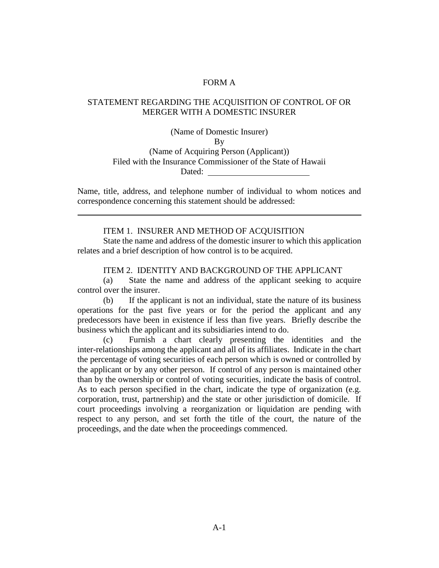### FORM A

## STATEMENT REGARDING THE ACQUISITION OF CONTROL OF OR MERGER WITH A DOMESTIC INSURER

#### (Name of Domestic Insurer)

By

(Name of Acquiring Person (Applicant)) Filed with the Insurance Commissioner of the State of Hawaii Dated:

Name, title, address, and telephone number of individual to whom notices and correspondence concerning this statement should be addressed:

#### ITEM 1. INSURER AND METHOD OF ACQUISITION

State the name and address of the domestic insurer to which this application relates and a brief description of how control is to be acquired.

### ITEM 2. IDENTITY AND BACKGROUND OF THE APPLICANT

(a) State the name and address of the applicant seeking to acquire control over the insurer.

(b) If the applicant is not an individual, state the nature of its business operations for the past five years or for the period the applicant and any predecessors have been in existence if less than five years. Briefly describe the business which the applicant and its subsidiaries intend to do.

(c) Furnish a chart clearly presenting the identities and the inter-relationships among the applicant and all of its affiliates. Indicate in the chart the percentage of voting securities of each person which is owned or controlled by the applicant or by any other person. If control of any person is maintained other than by the ownership or control of voting securities, indicate the basis of control. As to each person specified in the chart, indicate the type of organization (e.g. corporation, trust, partnership) and the state or other jurisdiction of domicile. If court proceedings involving a reorganization or liquidation are pending with respect to any person, and set forth the title of the court, the nature of the proceedings, and the date when the proceedings commenced.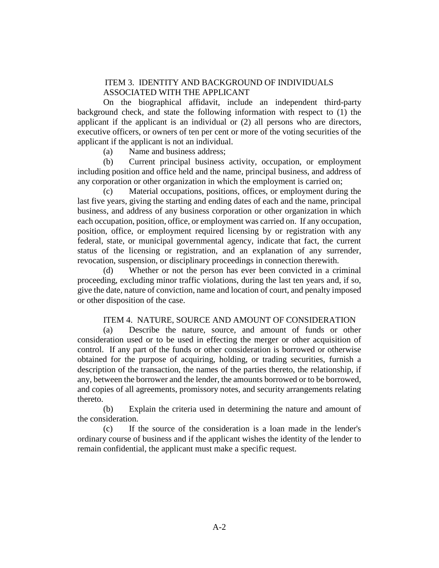### ITEM 3. IDENTITY AND BACKGROUND OF INDIVIDUALS ASSOCIATED WITH THE APPLICANT

On the biographical affidavit, include an independent third-party background check, and state the following information with respect to (1) the applicant if the applicant is an individual or (2) all persons who are directors, executive officers, or owners of ten per cent or more of the voting securities of the applicant if the applicant is not an individual.

(a) Name and business address;

(b) Current principal business activity, occupation, or employment including position and office held and the name, principal business, and address of any corporation or other organization in which the employment is carried on;

(c) Material occupations, positions, offices, or employment during the last five years, giving the starting and ending dates of each and the name, principal business, and address of any business corporation or other organization in which each occupation, position, office, or employment was carried on. If any occupation, position, office, or employment required licensing by or registration with any federal, state, or municipal governmental agency, indicate that fact, the current status of the licensing or registration, and an explanation of any surrender, revocation, suspension, or disciplinary proceedings in connection therewith.

(d) Whether or not the person has ever been convicted in a criminal proceeding, excluding minor traffic violations, during the last ten years and, if so, give the date, nature of conviction, name and location of court, and penalty imposed or other disposition of the case.

#### ITEM 4. NATURE, SOURCE AND AMOUNT OF CONSIDERATION

(a) Describe the nature, source, and amount of funds or other consideration used or to be used in effecting the merger or other acquisition of control. If any part of the funds or other consideration is borrowed or otherwise obtained for the purpose of acquiring, holding, or trading securities, furnish a description of the transaction, the names of the parties thereto, the relationship, if any, between the borrower and the lender, the amounts borrowed or to be borrowed, and copies of all agreements, promissory notes, and security arrangements relating thereto.

(b) Explain the criteria used in determining the nature and amount of the consideration.

(c) If the source of the consideration is a loan made in the lender's ordinary course of business and if the applicant wishes the identity of the lender to remain confidential, the applicant must make a specific request.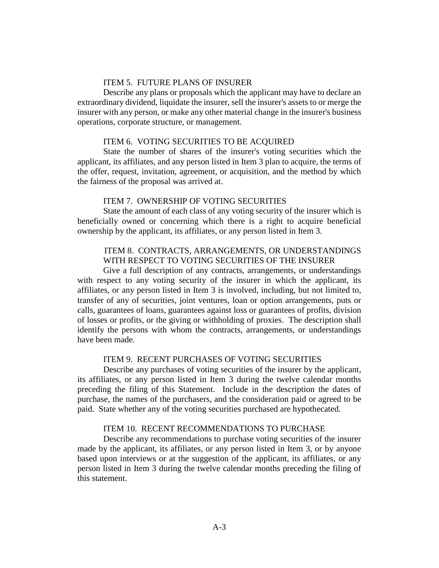### ITEM 5. FUTURE PLANS OF INSURER

Describe any plans or proposals which the applicant may have to declare an extraordinary dividend, liquidate the insurer, sell the insurer's assets to or merge the insurer with any person, or make any other material change in the insurer's business operations, corporate structure, or management.

### ITEM 6. VOTING SECURITIES TO BE ACQUIRED

State the number of shares of the insurer's voting securities which the applicant, its affiliates, and any person listed in Item 3 plan to acquire, the terms of the offer, request, invitation, agreement, or acquisition, and the method by which the fairness of the proposal was arrived at.

### ITEM 7. OWNERSHIP OF VOTING SECURITIES

State the amount of each class of any voting security of the insurer which is beneficially owned or concerning which there is a right to acquire beneficial ownership by the applicant, its affiliates, or any person listed in Item 3.

# ITEM 8. CONTRACTS, ARRANGEMENTS, OR UNDERSTANDINGS WITH RESPECT TO VOTING SECURITIES OF THE INSURER

Give a full description of any contracts, arrangements, or understandings with respect to any voting security of the insurer in which the applicant, its affiliates, or any person listed in Item 3 is involved, including, but not limited to, transfer of any of securities, joint ventures, loan or option arrangements, puts or calls, guarantees of loans, guarantees against loss or guarantees of profits, division of losses or profits, or the giving or withholding of proxies. The description shall identify the persons with whom the contracts, arrangements, or understandings have been made.

### ITEM 9. RECENT PURCHASES OF VOTING SECURITIES

Describe any purchases of voting securities of the insurer by the applicant, its affiliates, or any person listed in Item 3 during the twelve calendar months preceding the filing of this Statement. Include in the description the dates of purchase, the names of the purchasers, and the consideration paid or agreed to be paid. State whether any of the voting securities purchased are hypothecated.

### ITEM 10. RECENT RECOMMENDATIONS TO PURCHASE

Describe any recommendations to purchase voting securities of the insurer made by the applicant, its affiliates, or any person listed in Item 3, or by anyone based upon interviews or at the suggestion of the applicant, its affiliates, or any person listed in Item 3 during the twelve calendar months preceding the filing of this statement.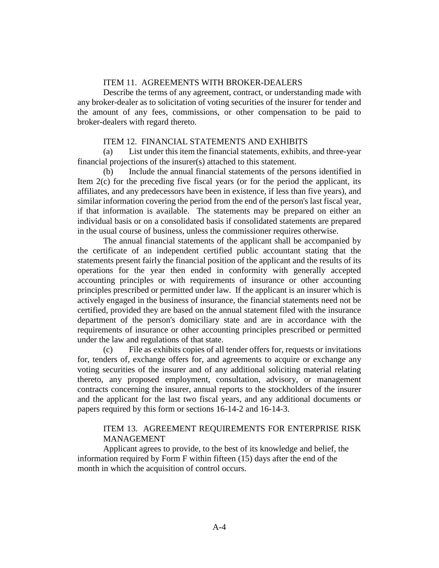#### ITEM 11. AGREEMENTS WITH BROKER-DEALERS

Describe the terms of any agreement, contract, or understanding made with any broker-dealer as to solicitation of voting securities of the insurer for tender and the amount of any fees, commissions, or other compensation to be paid to broker-dealers with regard thereto.

### ITEM 12. FINANCIAL STATEMENTS AND EXHIBITS

(a) List under this item the financial statements, exhibits, and three-year financial projections of the insurer(s) attached to this statement.

(b) Include the annual financial statements of the persons identified in Item 2(c) for the preceding five fiscal years (or for the period the applicant, its affiliates, and any predecessors have been in existence, if less than five years), and similar information covering the period from the end of the person's last fiscal year, if that information is available. The statements may be prepared on either an individual basis or on a consolidated basis if consolidated statements are prepared in the usual course of business, unless the commissioner requires otherwise.

The annual financial statements of the applicant shall be accompanied by the certificate of an independent certified public accountant stating that the statements present fairly the financial position of the applicant and the results of its operations for the year then ended in conformity with generally accepted accounting principles or with requirements of insurance or other accounting principles prescribed or permitted under law. If the applicant is an insurer which is actively engaged in the business of insurance, the financial statements need not be certified, provided they are based on the annual statement filed with the insurance department of the person's domiciliary state and are in accordance with the requirements of insurance or other accounting principles prescribed or permitted under the law and regulations of that state.

(c) File as exhibits copies of all tender offers for, requests or invitations for, tenders of, exchange offers for, and agreements to acquire or exchange any voting securities of the insurer and of any additional soliciting material relating thereto, any proposed employment, consultation, advisory, or management contracts concerning the insurer, annual reports to the stockholders of the insurer and the applicant for the last two fiscal years, and any additional documents or papers required by this form or sections 16-14-2 and 16-14-3.

### ITEM 13. AGREEMENT REQUIREMENTS FOR ENTERPRISE RISK MANAGEMENT

Applicant agrees to provide, to the best of its knowledge and belief, the information required by Form F within fifteen (15) days after the end of the month in which the acquisition of control occurs.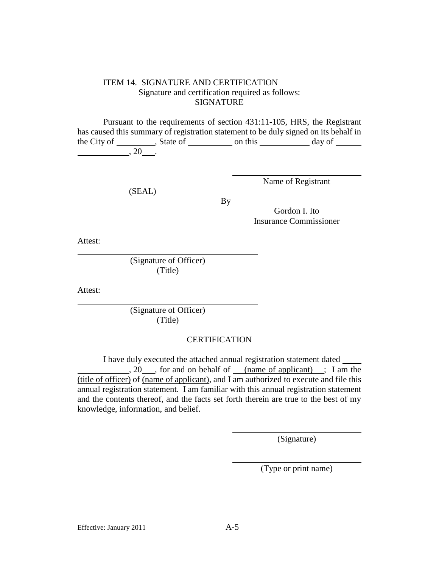### ITEM 14. SIGNATURE AND CERTIFICATION Signature and certification required as follows: SIGNATURE

Pursuant to the requirements of section 431:11-105, HRS, the Registrant has caused this summary of registration statement to be duly signed on its behalf in the City of , State of on this day of  $\frac{1}{20}$ , 20  $\frac{1}{20}$ 

(SEAL)

Name of Registrant

By

Gordon I. Ito Insurance Commissioner

Attest:

(Signature of Officer) (Title)

Attest:

(Signature of Officer) (Title)

#### **CERTIFICATION**

I have duly executed the attached annual registration statement dated , 20 , for and on behalf of (name of applicant) ; I am the (title of officer) of (name of applicant), and I am authorized to execute and file this annual registration statement. I am familiar with this annual registration statement and the contents thereof, and the facts set forth therein are true to the best of my knowledge, information, and belief.

(Signature)

(Type or print name)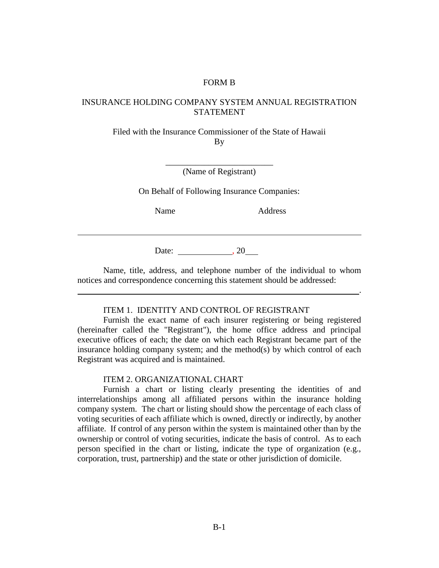#### FORM B

### INSURANCE HOLDING COMPANY SYSTEM ANNUAL REGISTRATION STATEMENT

Filed with the Insurance Commissioner of the State of Hawaii By

> \_\_\_\_\_\_\_\_\_\_\_\_\_\_\_\_\_\_\_\_\_\_\_\_\_ (Name of Registrant)

On Behalf of Following Insurance Companies:

Name Address

.

Date:  $, 20$ 

Name, title, address, and telephone number of the individual to whom notices and correspondence concerning this statement should be addressed:

#### ITEM 1. IDENTITY AND CONTROL OF REGISTRANT

Furnish the exact name of each insurer registering or being registered (hereinafter called the "Registrant"), the home office address and principal executive offices of each; the date on which each Registrant became part of the insurance holding company system; and the method(s) by which control of each Registrant was acquired and is maintained.

#### ITEM 2. ORGANIZATIONAL CHART

Furnish a chart or listing clearly presenting the identities of and interrelationships among all affiliated persons within the insurance holding company system. The chart or listing should show the percentage of each class of voting securities of each affiliate which is owned, directly or indirectly, by another affiliate. If control of any person within the system is maintained other than by the ownership or control of voting securities, indicate the basis of control. As to each person specified in the chart or listing, indicate the type of organization (e.g., corporation, trust, partnership) and the state or other jurisdiction of domicile.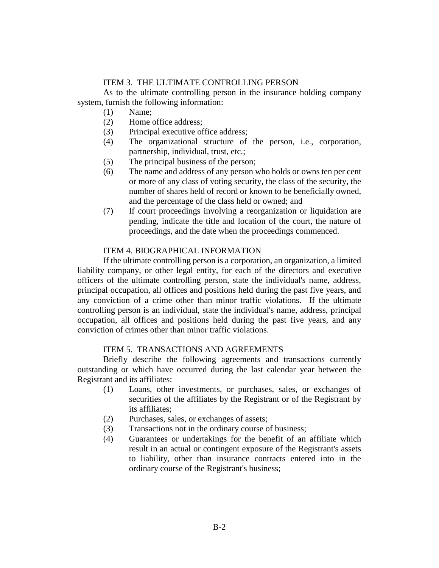### ITEM 3. THE ULTIMATE CONTROLLING PERSON

As to the ultimate controlling person in the insurance holding company system, furnish the following information:

- (1) Name;
- (2) Home office address;
- (3) Principal executive office address;
- (4) The organizational structure of the person, i.e., corporation, partnership, individual, trust, etc.;
- (5) The principal business of the person;
- (6) The name and address of any person who holds or owns ten per cent or more of any class of voting security, the class of the security, the number of shares held of record or known to be beneficially owned, and the percentage of the class held or owned; and
- (7) If court proceedings involving a reorganization or liquidation are pending, indicate the title and location of the court, the nature of proceedings, and the date when the proceedings commenced.

# ITEM 4. BIOGRAPHICAL INFORMATION

If the ultimate controlling person is a corporation, an organization, a limited liability company, or other legal entity, for each of the directors and executive officers of the ultimate controlling person, state the individual's name, address, principal occupation, all offices and positions held during the past five years, and any conviction of a crime other than minor traffic violations. If the ultimate controlling person is an individual, state the individual's name, address, principal occupation, all offices and positions held during the past five years, and any conviction of crimes other than minor traffic violations.

### ITEM 5. TRANSACTIONS AND AGREEMENTS

Briefly describe the following agreements and transactions currently outstanding or which have occurred during the last calendar year between the Registrant and its affiliates:

- (1) Loans, other investments, or purchases, sales, or exchanges of securities of the affiliates by the Registrant or of the Registrant by its affiliates;
- (2) Purchases, sales, or exchanges of assets;
- (3) Transactions not in the ordinary course of business;
- (4) Guarantees or undertakings for the benefit of an affiliate which result in an actual or contingent exposure of the Registrant's assets to liability, other than insurance contracts entered into in the ordinary course of the Registrant's business;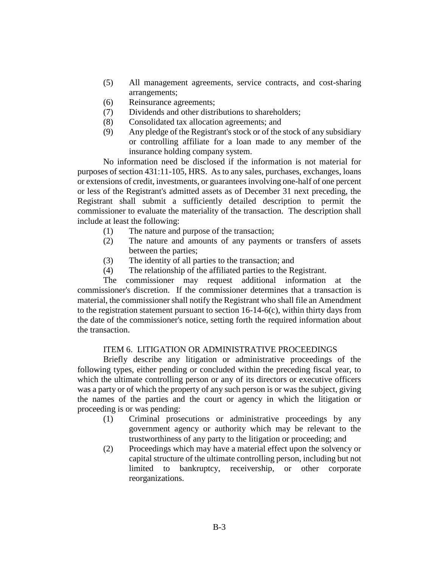- (5) All management agreements, service contracts, and cost-sharing arrangements;
- (6) Reinsurance agreements;
- (7) Dividends and other distributions to shareholders;
- (8) Consolidated tax allocation agreements; and
- (9) Any pledge of the Registrant's stock or of the stock of any subsidiary or controlling affiliate for a loan made to any member of the insurance holding company system.

No information need be disclosed if the information is not material for purposes of section 431:11-105, HRS. As to any sales, purchases, exchanges, loans or extensions of credit, investments, or guarantees involving one-half of one percent or less of the Registrant's admitted assets as of December 31 next preceding, the Registrant shall submit a sufficiently detailed description to permit the commissioner to evaluate the materiality of the transaction. The description shall include at least the following:

- (1) The nature and purpose of the transaction;
- (2) The nature and amounts of any payments or transfers of assets between the parties;
- (3) The identity of all parties to the transaction; and
- (4) The relationship of the affiliated parties to the Registrant.

The commissioner may request additional information at the commissioner's discretion. If the commissioner determines that a transaction is material, the commissioner shall notify the Registrant who shall file an Amendment to the registration statement pursuant to section 16-14-6(c), within thirty days from the date of the commissioner's notice, setting forth the required information about the transaction.

### ITEM 6. LITIGATION OR ADMINISTRATIVE PROCEEDINGS

Briefly describe any litigation or administrative proceedings of the following types, either pending or concluded within the preceding fiscal year, to which the ultimate controlling person or any of its directors or executive officers was a party or of which the property of any such person is or was the subject, giving the names of the parties and the court or agency in which the litigation or proceeding is or was pending:

- (1) Criminal prosecutions or administrative proceedings by any government agency or authority which may be relevant to the trustworthiness of any party to the litigation or proceeding; and
- (2) Proceedings which may have a material effect upon the solvency or capital structure of the ultimate controlling person, including but not limited to bankruptcy, receivership, or other corporate reorganizations.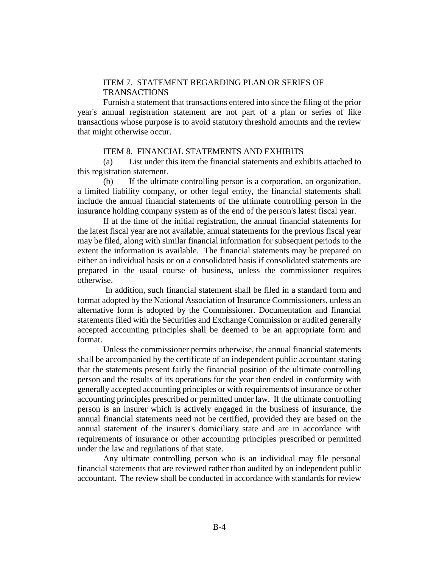### ITEM 7. STATEMENT REGARDING PLAN OR SERIES OF TRANSACTIONS

Furnish a statement that transactions entered into since the filing of the prior year's annual registration statement are not part of a plan or series of like transactions whose purpose is to avoid statutory threshold amounts and the review that might otherwise occur.

### ITEM 8. FINANCIAL STATEMENTS AND EXHIBITS

(a) List under this item the financial statements and exhibits attached to this registration statement.

(b) If the ultimate controlling person is a corporation, an organization, a limited liability company, or other legal entity, the financial statements shall include the annual financial statements of the ultimate controlling person in the insurance holding company system as of the end of the person's latest fiscal year.

If at the time of the initial registration, the annual financial statements for the latest fiscal year are not available, annual statements for the previous fiscal year may be filed, along with similar financial information for subsequent periods to the extent the information is available. The financial statements may be prepared on either an individual basis or on a consolidated basis if consolidated statements are prepared in the usual course of business, unless the commissioner requires otherwise.

In addition, such financial statement shall be filed in a standard form and format adopted by the National Association of Insurance Commissioners, unless an alternative form is adopted by the Commissioner. Documentation and financial statements filed with the Securities and Exchange Commission or audited generally accepted accounting principles shall be deemed to be an appropriate form and format.

Unless the commissioner permits otherwise, the annual financial statements shall be accompanied by the certificate of an independent public accountant stating that the statements present fairly the financial position of the ultimate controlling person and the results of its operations for the year then ended in conformity with generally accepted accounting principles or with requirements of insurance or other accounting principles prescribed or permitted under law. If the ultimate controlling person is an insurer which is actively engaged in the business of insurance, the annual financial statements need not be certified, provided they are based on the annual statement of the insurer's domiciliary state and are in accordance with requirements of insurance or other accounting principles prescribed or permitted under the law and regulations of that state.

Any ultimate controlling person who is an individual may file personal financial statements that are reviewed rather than audited by an independent public accountant. The review shall be conducted in accordance with standards for review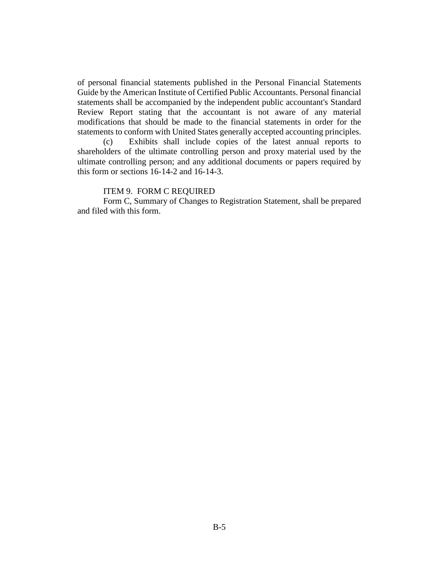of personal financial statements published in the Personal Financial Statements Guide by the American Institute of Certified Public Accountants. Personal financial statements shall be accompanied by the independent public accountant's Standard Review Report stating that the accountant is not aware of any material modifications that should be made to the financial statements in order for the statements to conform with United States generally accepted accounting principles.

(c) Exhibits shall include copies of the latest annual reports to shareholders of the ultimate controlling person and proxy material used by the ultimate controlling person; and any additional documents or papers required by this form or sections 16-14-2 and 16-14-3.

#### ITEM 9. FORM C REQUIRED

Form C, Summary of Changes to Registration Statement, shall be prepared and filed with this form.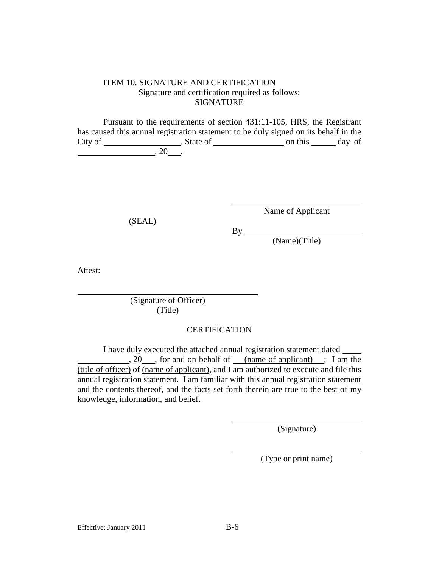### ITEM 10. SIGNATURE AND CERTIFICATION Signature and certification required as follows: SIGNATURE

Pursuant to the requirements of section 431:11-105, HRS, the Registrant has caused this annual registration statement to be duly signed on its behalf in the City of State of State of City of Assembly on this City of Assembly on this City of Assembly on this City of Assembly on this City of Assembly on this City of Assembly on this City of Assembly on this City of Assembly of A  $, 20$   $, 20$ 

(SEAL)

Name of Applicant

By

(Name)(Title)

Attest:

(Signature of Officer) (Title)

# **CERTIFICATION**

I have duly executed the attached annual registration statement dated , 20 , for and on behalf of (name of applicant) ; I am the (title of officer) of (name of applicant), and I am authorized to execute and file this annual registration statement. I am familiar with this annual registration statement and the contents thereof, and the facts set forth therein are true to the best of my knowledge, information, and belief.

(Signature)

(Type or print name)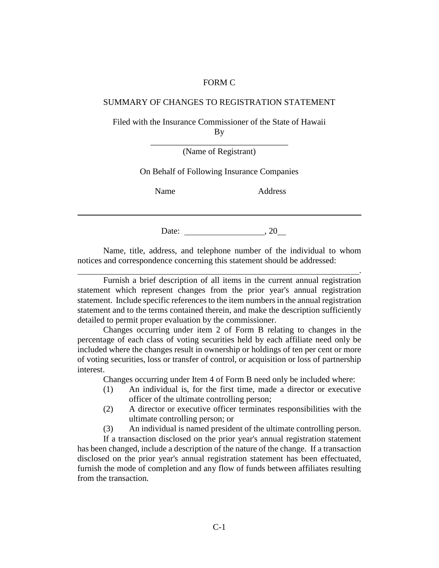#### FORM C

#### SUMMARY OF CHANGES TO REGISTRATION STATEMENT

Filed with the Insurance Commissioner of the State of Hawaii By

> \_\_\_\_\_\_\_\_\_\_\_\_\_\_\_\_\_\_\_\_\_\_\_\_\_\_\_\_\_\_\_\_ (Name of Registrant)

On Behalf of Following Insurance Companies

Name Address

.

Date: , 20

Name, title, address, and telephone number of the individual to whom notices and correspondence concerning this statement should be addressed:

Furnish a brief description of all items in the current annual registration statement which represent changes from the prior year's annual registration statement. Include specific references to the item numbers in the annual registration statement and to the terms contained therein, and make the description sufficiently detailed to permit proper evaluation by the commissioner.

Changes occurring under item 2 of Form B relating to changes in the percentage of each class of voting securities held by each affiliate need only be included where the changes result in ownership or holdings of ten per cent or more of voting securities, loss or transfer of control, or acquisition or loss of partnership interest.

Changes occurring under Item 4 of Form B need only be included where:

- (1) An individual is, for the first time, made a director or executive officer of the ultimate controlling person;
- (2) A director or executive officer terminates responsibilities with the ultimate controlling person; or
- (3) An individual is named president of the ultimate controlling person.

If a transaction disclosed on the prior year's annual registration statement has been changed, include a description of the nature of the change. If a transaction disclosed on the prior year's annual registration statement has been effectuated, furnish the mode of completion and any flow of funds between affiliates resulting from the transaction.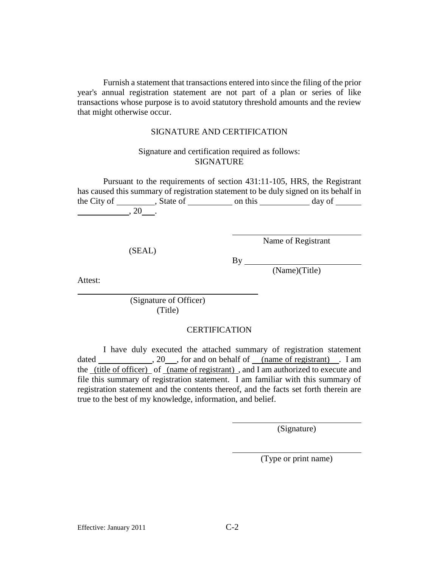Furnish a statement that transactions entered into since the filing of the prior year's annual registration statement are not part of a plan or series of like transactions whose purpose is to avoid statutory threshold amounts and the review that might otherwise occur.

#### SIGNATURE AND CERTIFICATION

### Signature and certification required as follows: SIGNATURE

Pursuant to the requirements of section 431:11-105, HRS, the Registrant has caused this summary of registration statement to be duly signed on its behalf in the City of the City of state of on this day of  $, 20$   $, 20$ 

(SEAL)

Name of Registrant

By

(Name)(Title)

Attest:

(Signature of Officer) (Title)

#### **CERTIFICATION**

I have duly executed the attached summary of registration statement dated , 20 , for and on behalf of (name of registrant) . I am the (title of officer) of (name of registrant) , and I am authorized to execute and file this summary of registration statement. I am familiar with this summary of registration statement and the contents thereof, and the facts set forth therein are true to the best of my knowledge, information, and belief.

(Signature)

(Type or print name)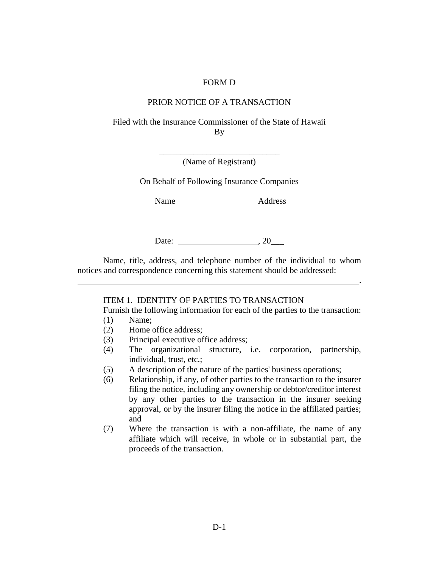#### FORM D

### PRIOR NOTICE OF A TRANSACTION

Filed with the Insurance Commissioner of the State of Hawaii By

> \_\_\_\_\_\_\_\_\_\_\_\_\_\_\_\_\_\_\_\_\_\_\_\_\_\_\_\_ (Name of Registrant)

On Behalf of Following Insurance Companies

Name Address

.

Date:  $, 20$ 

Name, title, address, and telephone number of the individual to whom notices and correspondence concerning this statement should be addressed:

### ITEM 1. IDENTITY OF PARTIES TO TRANSACTION

Furnish the following information for each of the parties to the transaction:

- (1) Name;
- (2) Home office address;
- (3) Principal executive office address;
- (4) The organizational structure, i.e. corporation, partnership, individual, trust, etc.;
- (5) A description of the nature of the parties' business operations;
- (6) Relationship, if any, of other parties to the transaction to the insurer filing the notice, including any ownership or debtor/creditor interest by any other parties to the transaction in the insurer seeking approval, or by the insurer filing the notice in the affiliated parties; and
- (7) Where the transaction is with a non-affiliate, the name of any affiliate which will receive, in whole or in substantial part, the proceeds of the transaction.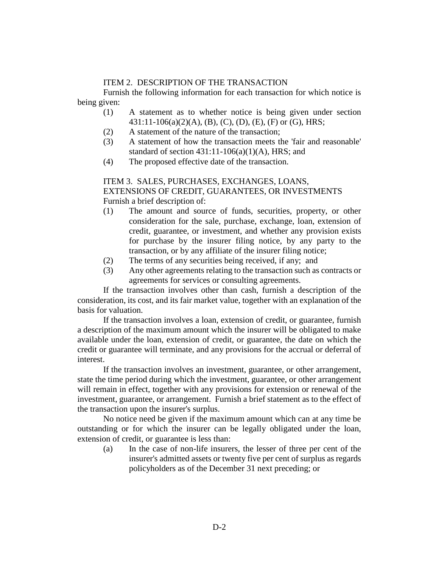### ITEM 2. DESCRIPTION OF THE TRANSACTION

Furnish the following information for each transaction for which notice is being given:

- (1) A statement as to whether notice is being given under section 431:11-106(a)(2)(A), (B), (C), (D), (E), (F) or (G), HRS;
- (2) A statement of the nature of the transaction;
- (3) A statement of how the transaction meets the 'fair and reasonable' standard of section  $431:11-106(a)(1)(A)$ , HRS; and
- (4) The proposed effective date of the transaction.

### ITEM 3. SALES, PURCHASES, EXCHANGES, LOANS, EXTENSIONS OF CREDIT, GUARANTEES, OR INVESTMENTS Furnish a brief description of:

- (1) The amount and source of funds, securities, property, or other consideration for the sale, purchase, exchange, loan, extension of credit, guarantee, or investment, and whether any provision exists for purchase by the insurer filing notice, by any party to the transaction, or by any affiliate of the insurer filing notice;
- (2) The terms of any securities being received, if any; and
- (3) Any other agreements relating to the transaction such as contracts or agreements for services or consulting agreements.

If the transaction involves other than cash, furnish a description of the consideration, its cost, and its fair market value, together with an explanation of the basis for valuation.

If the transaction involves a loan, extension of credit, or guarantee, furnish a description of the maximum amount which the insurer will be obligated to make available under the loan, extension of credit, or guarantee, the date on which the credit or guarantee will terminate, and any provisions for the accrual or deferral of interest.

If the transaction involves an investment, guarantee, or other arrangement, state the time period during which the investment, guarantee, or other arrangement will remain in effect, together with any provisions for extension or renewal of the investment, guarantee, or arrangement. Furnish a brief statement as to the effect of the transaction upon the insurer's surplus.

No notice need be given if the maximum amount which can at any time be outstanding or for which the insurer can be legally obligated under the loan, extension of credit, or guarantee is less than:

(a) In the case of non-life insurers, the lesser of three per cent of the insurer's admitted assets or twenty five per cent of surplus as regards policyholders as of the December 31 next preceding; or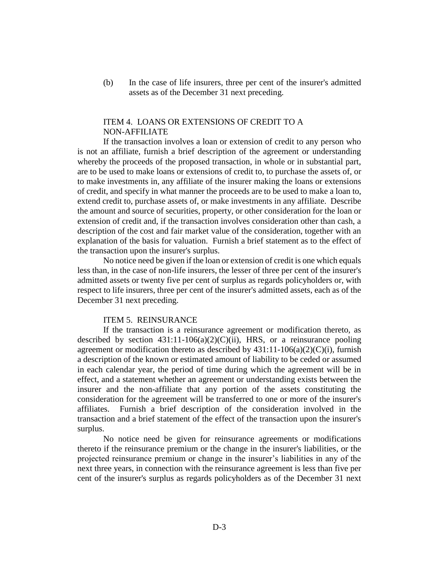(b) In the case of life insurers, three per cent of the insurer's admitted assets as of the December 31 next preceding.

### ITEM 4. LOANS OR EXTENSIONS OF CREDIT TO A NON-AFFILIATE

If the transaction involves a loan or extension of credit to any person who is not an affiliate, furnish a brief description of the agreement or understanding whereby the proceeds of the proposed transaction, in whole or in substantial part, are to be used to make loans or extensions of credit to, to purchase the assets of, or to make investments in, any affiliate of the insurer making the loans or extensions of credit, and specify in what manner the proceeds are to be used to make a loan to, extend credit to, purchase assets of, or make investments in any affiliate. Describe the amount and source of securities, property, or other consideration for the loan or extension of credit and, if the transaction involves consideration other than cash, a description of the cost and fair market value of the consideration, together with an explanation of the basis for valuation. Furnish a brief statement as to the effect of the transaction upon the insurer's surplus.

No notice need be given if the loan or extension of credit is one which equals less than, in the case of non-life insurers, the lesser of three per cent of the insurer's admitted assets or twenty five per cent of surplus as regards policyholders or, with respect to life insurers, three per cent of the insurer's admitted assets, each as of the December 31 next preceding.

#### ITEM 5. REINSURANCE

If the transaction is a reinsurance agreement or modification thereto, as described by section  $431:11-106(a)(2)(C)(ii)$ , HRS, or a reinsurance pooling agreement or modification thereto as described by  $431:11-106(a)(2)(C)(i)$ , furnish a description of the known or estimated amount of liability to be ceded or assumed in each calendar year, the period of time during which the agreement will be in effect, and a statement whether an agreement or understanding exists between the insurer and the non-affiliate that any portion of the assets constituting the consideration for the agreement will be transferred to one or more of the insurer's affiliates. Furnish a brief description of the consideration involved in the transaction and a brief statement of the effect of the transaction upon the insurer's surplus.

No notice need be given for reinsurance agreements or modifications thereto if the reinsurance premium or the change in the insurer's liabilities, or the projected reinsurance premium or change in the insurer's liabilities in any of the next three years, in connection with the reinsurance agreement is less than five per cent of the insurer's surplus as regards policyholders as of the December 31 next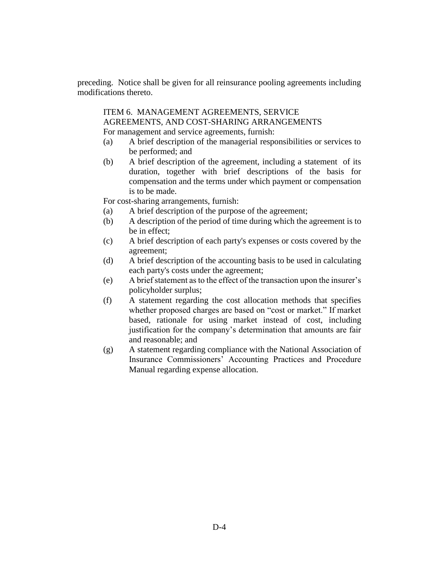preceding. Notice shall be given for all reinsurance pooling agreements including modifications thereto.

ITEM 6. MANAGEMENT AGREEMENTS, SERVICE AGREEMENTS, AND COST-SHARING ARRANGEMENTS For management and service agreements, furnish:

- (a) A brief description of the managerial responsibilities or services to be performed; and
- (b) A brief description of the agreement, including a statement of its duration, together with brief descriptions of the basis for compensation and the terms under which payment or compensation is to be made.

For cost-sharing arrangements, furnish:

- (a) A brief description of the purpose of the agreement;
- (b) A description of the period of time during which the agreement is to be in effect;
- (c) A brief description of each party's expenses or costs covered by the agreement;
- (d) A brief description of the accounting basis to be used in calculating each party's costs under the agreement;
- (e) A brief statement as to the effect of the transaction upon the insurer's policyholder surplus;
- (f) A statement regarding the cost allocation methods that specifies whether proposed charges are based on "cost or market." If market based, rationale for using market instead of cost, including justification for the company's determination that amounts are fair and reasonable; and
- (g) A statement regarding compliance with the National Association of Insurance Commissioners' Accounting Practices and Procedure Manual regarding expense allocation.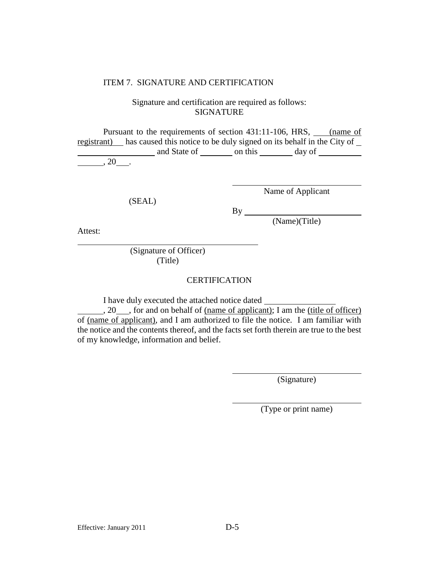#### ITEM 7. SIGNATURE AND CERTIFICATION

# Signature and certification are required as follows: SIGNATURE

Pursuant to the requirements of section 431:11-106, HRS, *came of* registrant) has caused this notice to be duly signed on its behalf in the City of and State of <u>contains on this contained</u> day of <u>containing</u> , 20 .

(SEAL)

Name of Applicant

By

(Name)(Title)

Attest:

(Signature of Officer) (Title)

### **CERTIFICATION**

I have duly executed the attached notice dated

, 20 , for and on behalf of <u>(name of applicant</u>); I am the (title of officer) of (name of applicant), and I am authorized to file the notice. I am familiar with the notice and the contents thereof, and the facts set forth therein are true to the best of my knowledge, information and belief.

(Signature)

(Type or print name)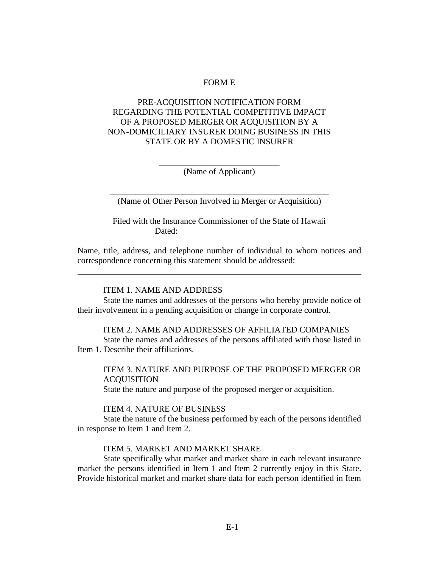#### FORM E

# PRE-ACQUISITION NOTIFICATION FORM REGARDING THE POTENTIAL COMPETITIVE IMPACT OF A PROPOSED MERGER OR ACQUISITION BY A NON-DOMICILIARY INSURER DOING BUSINESS IN THIS STATE OR BY A DOMESTIC INSURER

\_\_\_\_\_\_\_\_\_\_\_\_\_\_\_\_\_\_\_\_\_\_\_\_\_\_\_\_ (Name of Applicant)

\_\_\_\_\_\_\_\_\_\_\_\_\_\_\_\_\_\_\_\_\_\_\_\_\_\_\_\_\_\_\_\_\_\_\_\_\_\_\_\_\_\_\_\_\_\_\_\_\_\_\_ (Name of Other Person Involved in Merger or Acquisition)

Filed with the Insurance Commissioner of the State of Hawaii Dated: **Dated: Dated: Dates: Dates: Dates: Dates: Dates: Dates: Dates: Dates: Dates: Dates: Dates: Dates: Dates: Dates: Dates: Dates: Dates: Dates: Dates: Dates: Dates: Dates:** 

Name, title, address, and telephone number of individual to whom notices and correspondence concerning this statement should be addressed:

#### ITEM 1. NAME AND ADDRESS

State the names and addresses of the persons who hereby provide notice of their involvement in a pending acquisition or change in corporate control.

ITEM 2. NAME AND ADDRESSES OF AFFILIATED COMPANIES State the names and addresses of the persons affiliated with those listed in Item 1. Describe their affiliations.

ITEM 3. NATURE AND PURPOSE OF THE PROPOSED MERGER OR **ACQUISITION** State the nature and purpose of the proposed merger or acquisition.

ITEM 4. NATURE OF BUSINESS

State the nature of the business performed by each of the persons identified in response to Item 1 and Item 2.

#### ITEM 5. MARKET AND MARKET SHARE

State specifically what market and market share in each relevant insurance market the persons identified in Item 1 and Item 2 currently enjoy in this State. Provide historical market and market share data for each person identified in Item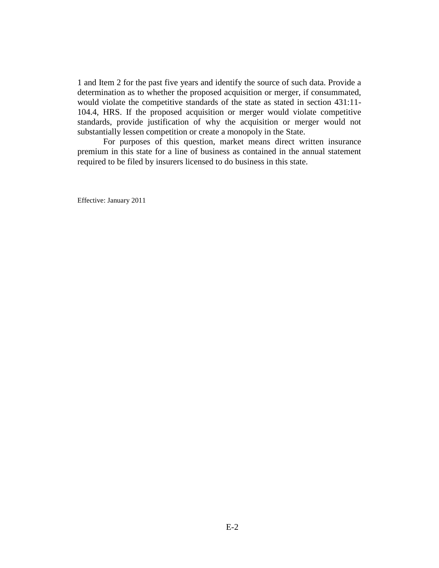1 and Item 2 for the past five years and identify the source of such data. Provide a determination as to whether the proposed acquisition or merger, if consummated, would violate the competitive standards of the state as stated in section 431:11- 104.4, HRS. If the proposed acquisition or merger would violate competitive standards, provide justification of why the acquisition or merger would not substantially lessen competition or create a monopoly in the State.

For purposes of this question, market means direct written insurance premium in this state for a line of business as contained in the annual statement required to be filed by insurers licensed to do business in this state.

Effective: January 2011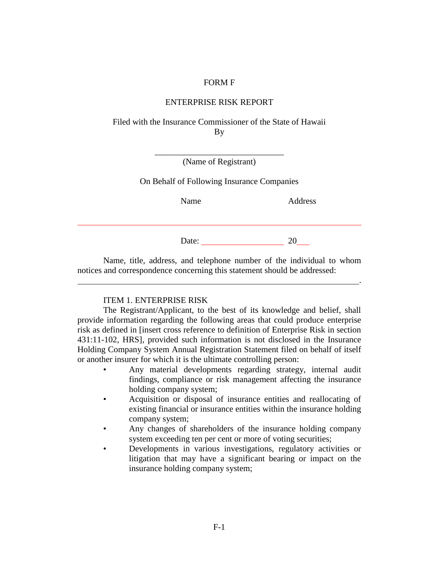#### FORM F

### ENTERPRISE RISK REPORT

Filed with the Insurance Commissioner of the State of Hawaii By

| (Name of Registrant) |  |
|----------------------|--|

On Behalf of Following Insurance Companies

Name Address

.

Date: 20

Name, title, address, and telephone number of the individual to whom notices and correspondence concerning this statement should be addressed:

#### ITEM 1. ENTERPRISE RISK

The Registrant/Applicant, to the best of its knowledge and belief, shall provide information regarding the following areas that could produce enterprise risk as defined in [insert cross reference to definition of Enterprise Risk in section 431:11-102, HRS], provided such information is not disclosed in the Insurance Holding Company System Annual Registration Statement filed on behalf of itself or another insurer for which it is the ultimate controlling person:

- Any material developments regarding strategy, internal audit findings, compliance or risk management affecting the insurance holding company system;
- Acquisition or disposal of insurance entities and reallocating of existing financial or insurance entities within the insurance holding company system;
- Any changes of shareholders of the insurance holding company system exceeding ten per cent or more of voting securities;
- Developments in various investigations, regulatory activities or litigation that may have a significant bearing or impact on the insurance holding company system;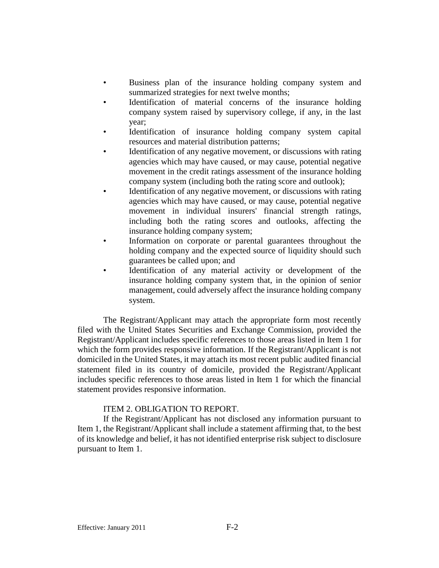- Business plan of the insurance holding company system and summarized strategies for next twelve months;
- Identification of material concerns of the insurance holding company system raised by supervisory college, if any, in the last year;
- Identification of insurance holding company system capital resources and material distribution patterns;
- Identification of any negative movement, or discussions with rating agencies which may have caused, or may cause, potential negative movement in the credit ratings assessment of the insurance holding company system (including both the rating score and outlook);
- Identification of any negative movement, or discussions with rating agencies which may have caused, or may cause, potential negative movement in individual insurers' financial strength ratings, including both the rating scores and outlooks, affecting the insurance holding company system;
- Information on corporate or parental guarantees throughout the holding company and the expected source of liquidity should such guarantees be called upon; and
- Identification of any material activity or development of the insurance holding company system that, in the opinion of senior management, could adversely affect the insurance holding company system.

The Registrant/Applicant may attach the appropriate form most recently filed with the United States Securities and Exchange Commission, provided the Registrant/Applicant includes specific references to those areas listed in Item 1 for which the form provides responsive information. If the Registrant/Applicant is not domiciled in the United States, it may attach its most recent public audited financial statement filed in its country of domicile, provided the Registrant/Applicant includes specific references to those areas listed in Item 1 for which the financial statement provides responsive information.

### ITEM 2. OBLIGATION TO REPORT.

If the Registrant/Applicant has not disclosed any information pursuant to Item 1, the Registrant/Applicant shall include a statement affirming that, to the best of its knowledge and belief, it has not identified enterprise risk subject to disclosure pursuant to Item 1.